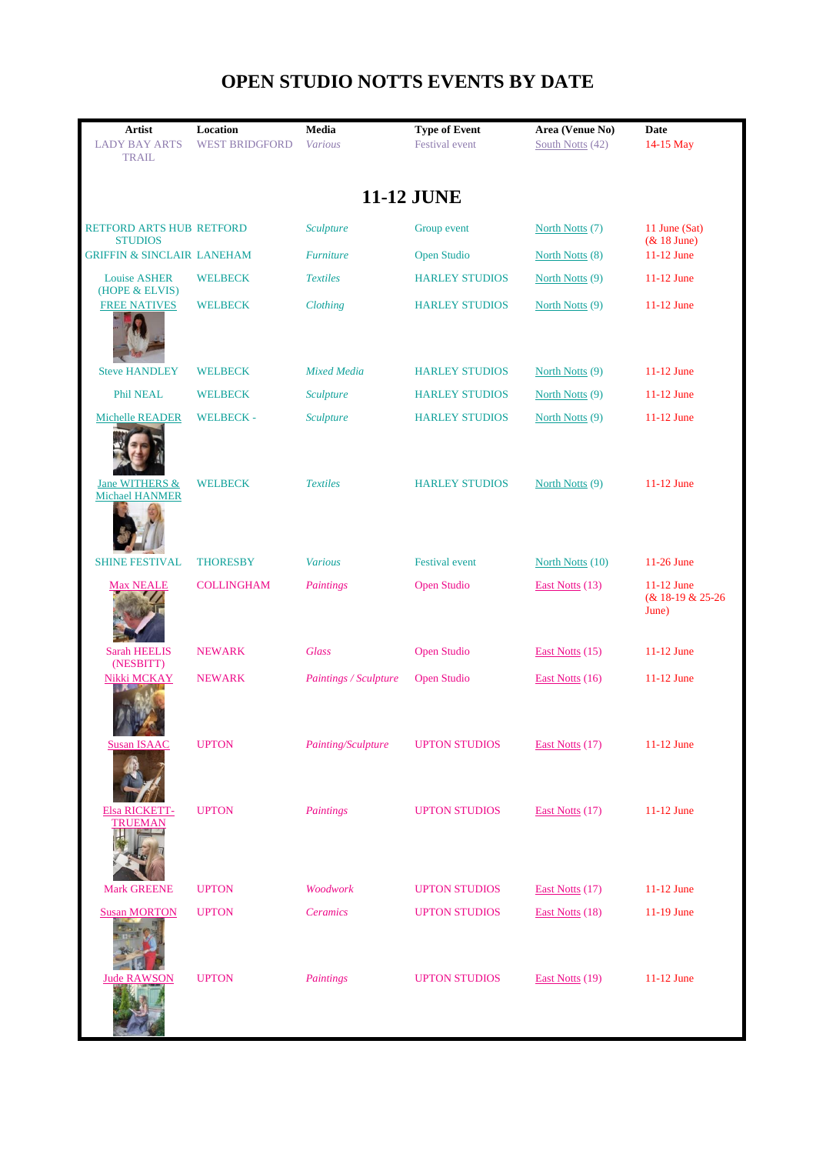## **OPEN STUDIO NOTTS EVENTS BY DATE**

| <b>Artist</b><br><b>LADY BAY ARTS</b><br><b>TRAIL</b> | Location<br><b>WEST BRIDGFORD</b> | Media<br><b>Various</b> | <b>Type of Event</b><br><b>Festival</b> event | Area (Venue No)<br>South Notts (42) | <b>Date</b><br>14-15 May                   |  |  |
|-------------------------------------------------------|-----------------------------------|-------------------------|-----------------------------------------------|-------------------------------------|--------------------------------------------|--|--|
| <b>11-12 JUNE</b>                                     |                                   |                         |                                               |                                     |                                            |  |  |
| <b>RETFORD ARTS HUB RETFORD</b><br><b>STUDIOS</b>     |                                   | Sculpture               | Group event                                   | North Notts (7)                     | 11 June (Sat)<br>$& 18$ June)              |  |  |
| <b>GRIFFIN &amp; SINCLAIR LANEHAM</b>                 |                                   | <b>Furniture</b>        | <b>Open Studio</b>                            | North Notts (8)                     | 11-12 June                                 |  |  |
| <b>Louise ASHER</b>                                   | <b>WELBECK</b>                    | <b>Textiles</b>         | <b>HARLEY STUDIOS</b>                         | North Notts (9)                     | $11-12$ June                               |  |  |
| (HOPE & ELVIS)<br><b>FREE NATIVES</b>                 | <b>WELBECK</b>                    | Clothing                | <b>HARLEY STUDIOS</b>                         | North Notts (9)                     | $11-12$ June                               |  |  |
| <b>Steve HANDLEY</b>                                  | <b>WELBECK</b>                    | <b>Mixed Media</b>      | <b>HARLEY STUDIOS</b>                         | North Notts (9)                     | 11-12 June                                 |  |  |
| Phil NEAL                                             | <b>WELBECK</b>                    | Sculpture               | <b>HARLEY STUDIOS</b>                         | North Notts (9)                     | $11-12$ June                               |  |  |
| Michelle READER                                       | <b>WELBECK-</b>                   | Sculpture               | <b>HARLEY STUDIOS</b>                         | North Notts (9)                     | 11-12 June                                 |  |  |
| Jane WITHERS &<br><b>Michael HANMER</b>               | <b>WELBECK</b>                    | <b>Textiles</b>         | <b>HARLEY STUDIOS</b>                         | North Notts (9)                     | 11-12 June                                 |  |  |
| <b>SHINE FESTIVAL</b>                                 | <b>THORESBY</b>                   | <b>Various</b>          | <b>Festival</b> event                         | North Notts (10)                    | 11-26 June                                 |  |  |
| <b>Max NEALE</b>                                      | <b>COLLINGHAM</b>                 | Paintings               | <b>Open Studio</b>                            | East Notts (13)                     | $11-12$ June<br>(& 18-19 & 25-26)<br>June) |  |  |
| <b>Sarah HEELIS</b><br>(NESBITT)                      | <b>NEWARK</b>                     | <b>Glass</b>            | <b>Open Studio</b>                            | East Notts (15)                     | 11-12 June                                 |  |  |
| Nikki MCKAY                                           | <b>NEWARK</b>                     | Paintings / Sculpture   | <b>Open Studio</b>                            | East Notts (16)                     | 11-12 June                                 |  |  |
| <b>Susan ISAAC</b>                                    | <b>UPTON</b>                      | Painting/Sculpture      | <b>UPTON STUDIOS</b>                          | East Notts (17)                     | 11-12 June                                 |  |  |
| Elsa RICKETT-<br>TRUEMAN                              | <b>UPTON</b>                      | Paintings               | <b>UPTON STUDIOS</b>                          | East Notts (17)                     | 11-12 June                                 |  |  |
| <b>Mark GREENE</b>                                    | <b>UPTON</b>                      | Woodwork                | <b>UPTON STUDIOS</b>                          | East Notts (17)                     | 11-12 June                                 |  |  |
| <b>Susan MORTON</b>                                   | <b>UPTON</b>                      | <b>Ceramics</b>         | <b>UPTON STUDIOS</b>                          | East Notts (18)                     | 11-19 June                                 |  |  |
| <b>Jude RAWSON</b>                                    | <b>UPTON</b>                      | Paintings               | <b>UPTON STUDIOS</b>                          | East Notts (19)                     | 11-12 June                                 |  |  |

ı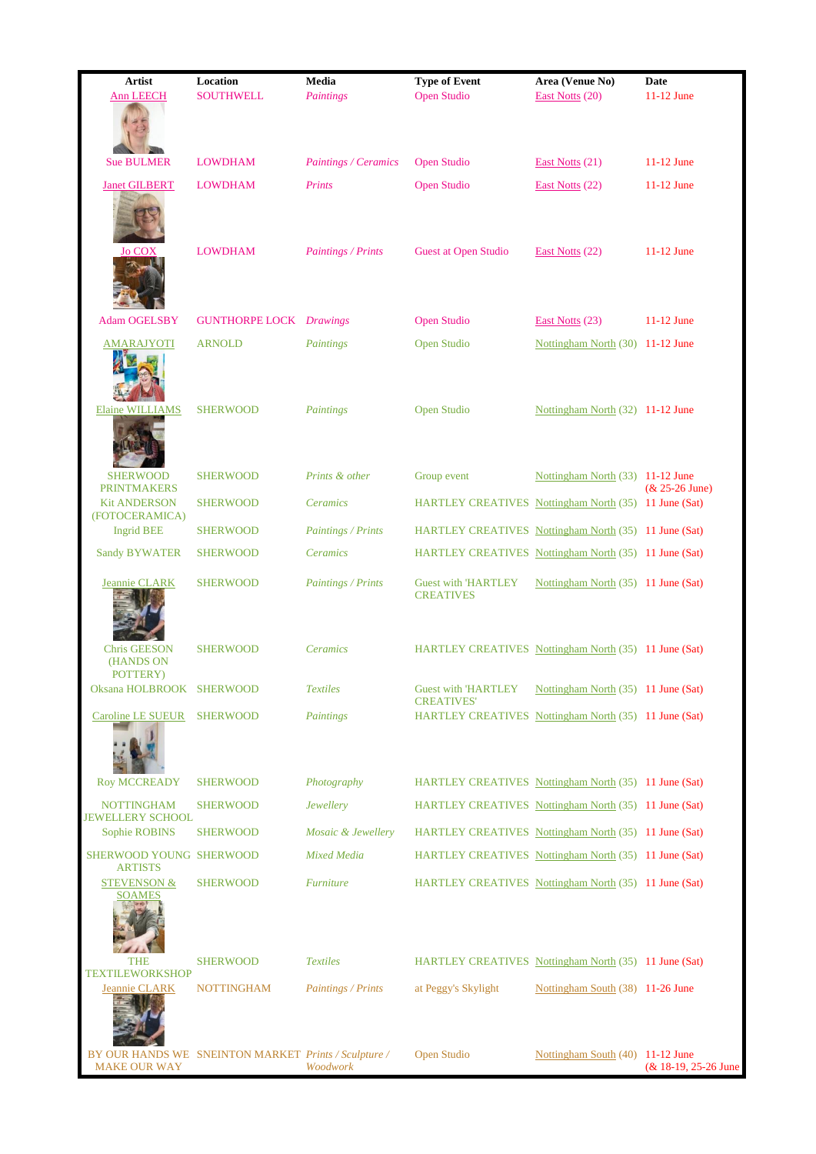| <b>Artist</b>                                | Location                                             | Media                | <b>Type of Event</b>                                                       | Area (Venue No)                     | Date                 |
|----------------------------------------------|------------------------------------------------------|----------------------|----------------------------------------------------------------------------|-------------------------------------|----------------------|
| <b>Ann LEECH</b>                             | <b>SOUTHWELL</b>                                     | Paintings            | <b>Open Studio</b>                                                         | East Notts (20)                     | 11-12 June           |
| <b>Sue BULMER</b>                            | <b>LOWDHAM</b>                                       | Paintings / Ceramics | <b>Open Studio</b>                                                         | East Notts (21)                     | $11-12$ June         |
| <b>Janet GILBERT</b>                         | <b>LOWDHAM</b>                                       | Prints               | <b>Open Studio</b>                                                         | East Notts (22)                     | 11-12 June           |
| <b>Jo COX</b>                                | <b>LOWDHAM</b>                                       | Paintings / Prints   | <b>Guest at Open Studio</b>                                                | East Notts (22)                     | 11-12 June           |
| <b>Adam OGELSBY</b>                          | <b>GUNTHORPE LOCK</b> <i>Drawings</i>                |                      | <b>Open Studio</b>                                                         | East Notts (23)                     | $11-12$ June         |
| <b>AMARAJYOTI</b>                            | <b>ARNOLD</b>                                        | Paintings            | <b>Open Studio</b>                                                         | Nottingham North (30) 11-12 June    |                      |
| Elaine WILLIAMS                              | <b>SHERWOOD</b>                                      | Paintings            | <b>Open Studio</b>                                                         | Nottingham North (32) 11-12 June    |                      |
| <b>SHERWOOD</b><br><b>PRINTMAKERS</b>        | <b>SHERWOOD</b>                                      | Prints & other       | Group event                                                                | Nottingham North (33) 11-12 June    | $& 25 - 26$ June)    |
| <b>Kit ANDERSON</b><br>(FOTOCERAMICA)        | <b>SHERWOOD</b>                                      | Ceramics             | HARTLEY CREATIVES Nottingham North (35) 11 June (Sat)                      |                                     |                      |
| <b>Ingrid BEE</b>                            | <b>SHERWOOD</b>                                      | Paintings / Prints   | HARTLEY CREATIVES Nottingham North (35) 11 June (Sat)                      |                                     |                      |
| <b>Sandy BYWATER</b>                         | <b>SHERWOOD</b>                                      | Ceramics             | HARTLEY CREATIVES Nottingham North (35) 11 June (Sat)                      |                                     |                      |
| Jeannie CLARK                                | <b>SHERWOOD</b>                                      | Paintings / Prints   | <b>Guest with 'HARTLEY</b><br><b>CREATIVES</b>                             | Nottingham North (35) 11 June (Sat) |                      |
| <b>Chris GEESON</b><br>(HANDS ON<br>POTTERY) | <b>SHERWOOD</b>                                      | Ceramics             | HARTLEY CREATIVES Nottingham North (35) 11 June (Sat)                      |                                     |                      |
| Oksana HOLBROOK SHERWOOD                     |                                                      | <b>Textiles</b>      | <b>Guest with 'HARTLEY</b>                                                 | Nottingham North (35) 11 June (Sat) |                      |
| Caroline LE SUEUR SHERWOOD                   |                                                      | Paintings            | <b>CREATIVES'</b><br>HARTLEY CREATIVES Nottingham North (35) 11 June (Sat) |                                     |                      |
| Roy MCCREADY                                 | <b>SHERWOOD</b>                                      | Photography          | HARTLEY CREATIVES Nottingham North (35) 11 June (Sat)                      |                                     |                      |
| <b>NOTTINGHAM</b><br><b>JEWELLERY SCHOOL</b> | <b>SHERWOOD</b>                                      | Jewellery            | HARTLEY CREATIVES Nottingham North (35) 11 June (Sat)                      |                                     |                      |
| Sophie ROBINS                                | <b>SHERWOOD</b>                                      | Mosaic & Jewellery   | HARTLEY CREATIVES Nottingham North (35) 11 June (Sat)                      |                                     |                      |
| SHERWOOD YOUNG SHERWOOD<br><b>ARTISTS</b>    |                                                      | <b>Mixed Media</b>   | HARTLEY CREATIVES Nottingham North (35) 11 June (Sat)                      |                                     |                      |
| <b>STEVENSON &amp;</b><br>SOAMES             | <b>SHERWOOD</b>                                      | <b>Furniture</b>     | HARTLEY CREATIVES Nottingham North (35) 11 June (Sat)                      |                                     |                      |
| THE<br><b>TEXTILEWORKSHOP</b>                | <b>SHERWOOD</b>                                      | <b>Textiles</b>      | HARTLEY CREATIVES Nottingham North (35) 11 June (Sat)                      |                                     |                      |
| Jeannie CLARK                                | <b>NOTTINGHAM</b>                                    | Paintings / Prints   | at Peggy's Skylight                                                        | Nottingham South (38) 11-26 June    |                      |
| <b>MAKE OUR WAY</b>                          | BY OUR HANDS WE SNEINTON MARKET Prints / Sculpture / | Woodwork             | <b>Open Studio</b>                                                         | Nottingham South (40) 11-12 June    | (& 18-19, 25-26 June |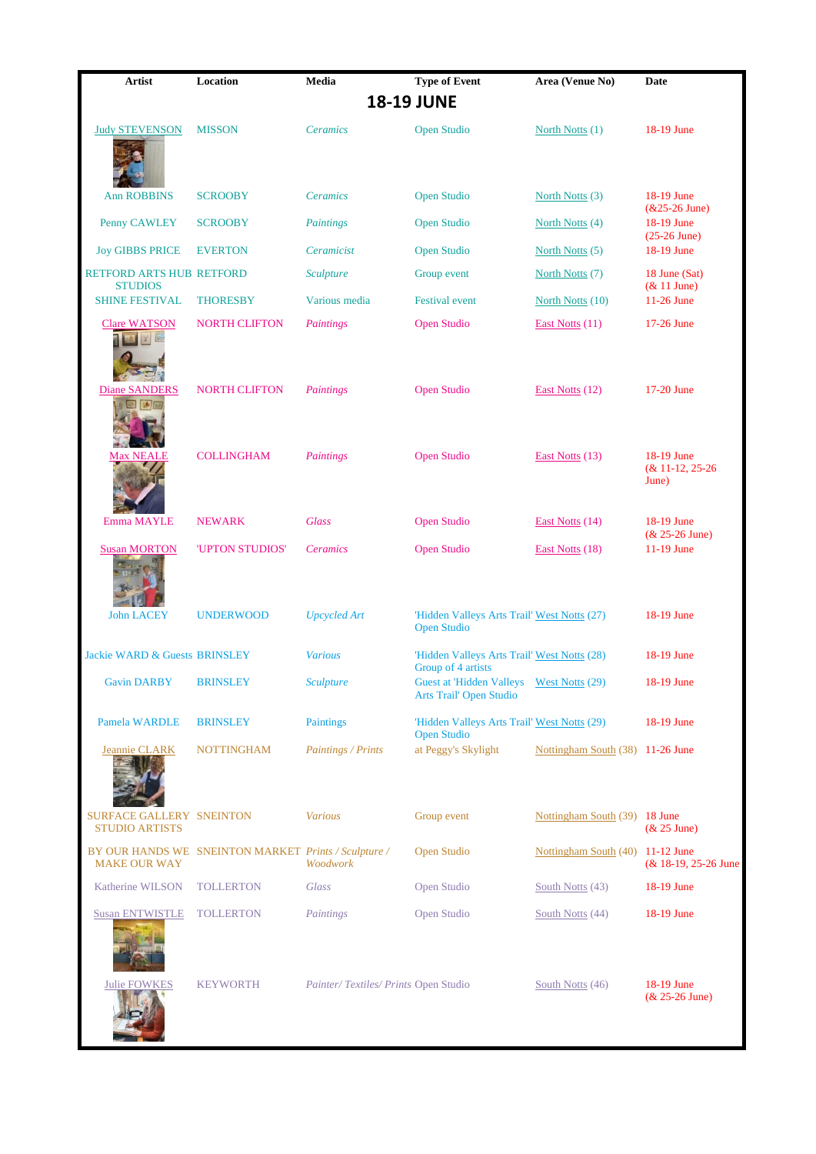| Artist                                                   | Location                                             | Media                               | <b>Type of Event</b>                                                       | Area (Venue No)                  | Date                                    |  |  |
|----------------------------------------------------------|------------------------------------------------------|-------------------------------------|----------------------------------------------------------------------------|----------------------------------|-----------------------------------------|--|--|
| <b>18-19 JUNE</b>                                        |                                                      |                                     |                                                                            |                                  |                                         |  |  |
| <b>Judy STEVENSON</b>                                    | <b>MISSON</b>                                        | Ceramics                            | <b>Open Studio</b>                                                         | North Notts (1)                  | 18-19 June                              |  |  |
| <b>Ann ROBBINS</b>                                       | <b>SCROOBY</b>                                       | Ceramics                            | <b>Open Studio</b>                                                         | North Notts (3)                  | 18-19 June<br>$&25-26$ June)            |  |  |
| Penny CAWLEY                                             | <b>SCROOBY</b>                                       | Paintings                           | <b>Open Studio</b>                                                         | North Notts (4)                  | 18-19 June<br>$(25-26$ June)            |  |  |
| <b>Joy GIBBS PRICE</b>                                   | <b>EVERTON</b>                                       | Ceramicist                          | <b>Open Studio</b>                                                         | North Notts (5)                  | 18-19 June                              |  |  |
| RETFORD ARTS HUB RETFORD<br><b>STUDIOS</b>               |                                                      | <b>Sculpture</b>                    | Group event                                                                | North Notts (7)                  | 18 June (Sat)<br>& 11 June)             |  |  |
| <b>SHINE FESTIVAL</b>                                    | <b>THORESBY</b>                                      | Various media                       | <b>Festival</b> event                                                      | North Notts (10)                 | 11-26 June                              |  |  |
| <b>Clare WATSON</b>                                      | <b>NORTH CLIFTON</b>                                 | Paintings                           | <b>Open Studio</b>                                                         | East Notts $(11)$                | 17-26 June                              |  |  |
| <b>Diane SANDERS</b><br>随信                               | <b>NORTH CLIFTON</b>                                 | Paintings                           | <b>Open Studio</b>                                                         | East Notts (12)                  | 17-20 June                              |  |  |
| ALE.                                                     | <b>COLLINGHAM</b>                                    | Paintings                           | <b>Open Studio</b>                                                         | East Notts (13)                  | 18-19 June<br>$& 11-12, 25-26$<br>June) |  |  |
| Emma MAYLE                                               | <b>NEWARK</b>                                        | <b>Glass</b>                        | <b>Open Studio</b>                                                         | East Notts (14)                  | 18-19 June<br>$& 25 - 26$ June)         |  |  |
| <b>Susan MORTON</b>                                      | 'UPTON STUDIOS'                                      | <b>Ceramics</b>                     | <b>Open Studio</b>                                                         | East Notts (18)                  | 11-19 June                              |  |  |
| <b>John LACEY</b>                                        | <b>UNDERWOOD</b>                                     | <b>Upcycled Art</b>                 | 'Hidden Valleys Arts Trail' West Notts (27)<br><b>Open Studio</b>          |                                  | 18-19 June                              |  |  |
| <b>Jackie WARD &amp; Guests BRINSLEY</b>                 |                                                      | <b>Various</b>                      | 'Hidden Valleys Arts Trail' West Notts (28)<br>Group of 4 artists          |                                  | 18-19 June                              |  |  |
| <b>Gavin DARBY</b>                                       | <b>BRINSLEY</b>                                      | <b>Sculpture</b>                    | Guest at 'Hidden Valleys West Notts (29)<br><b>Arts Trail' Open Studio</b> |                                  | 18-19 June                              |  |  |
| <b>Pamela WARDLE</b>                                     | <b>BRINSLEY</b>                                      | <b>Paintings</b>                    | 'Hidden Valleys Arts Trail' West Notts (29)<br><b>Open Studio</b>          |                                  | 18-19 June                              |  |  |
| <b>Jeannie CLARK</b>                                     | <b>NOTTINGHAM</b>                                    | Paintings / Prints                  | at Peggy's Skylight                                                        | Nottingham South (38) 11-26 June |                                         |  |  |
| <b>SURFACE GALLERY SNEINTON</b><br><b>STUDIO ARTISTS</b> |                                                      | <b>Various</b>                      | Group event                                                                | Nottingham South (39) 18 June    | $& 25$ June)                            |  |  |
| <b>MAKE OUR WAY</b>                                      | BY OUR HANDS WE SNEINTON MARKET Prints / Sculpture / | Woodwork                            | Open Studio                                                                | Nottingham South (40) 11-12 June | (& 18-19, 25-26 June                    |  |  |
| Katherine WILSON                                         | <b>TOLLERTON</b>                                     | Glass                               | Open Studio                                                                | South Notts (43)                 | 18-19 June                              |  |  |
| <b>Susan ENTWISTLE</b>                                   | <b>TOLLERTON</b>                                     | Paintings                           | Open Studio                                                                | South Notts (44)                 | 18-19 June                              |  |  |
| <b>Julie FOWKES</b>                                      | <b>KEYWORTH</b>                                      | Painter/Textiles/Prints Open Studio |                                                                            | South Notts (46)                 | 18-19 June<br>$& 25 - 26$ June)         |  |  |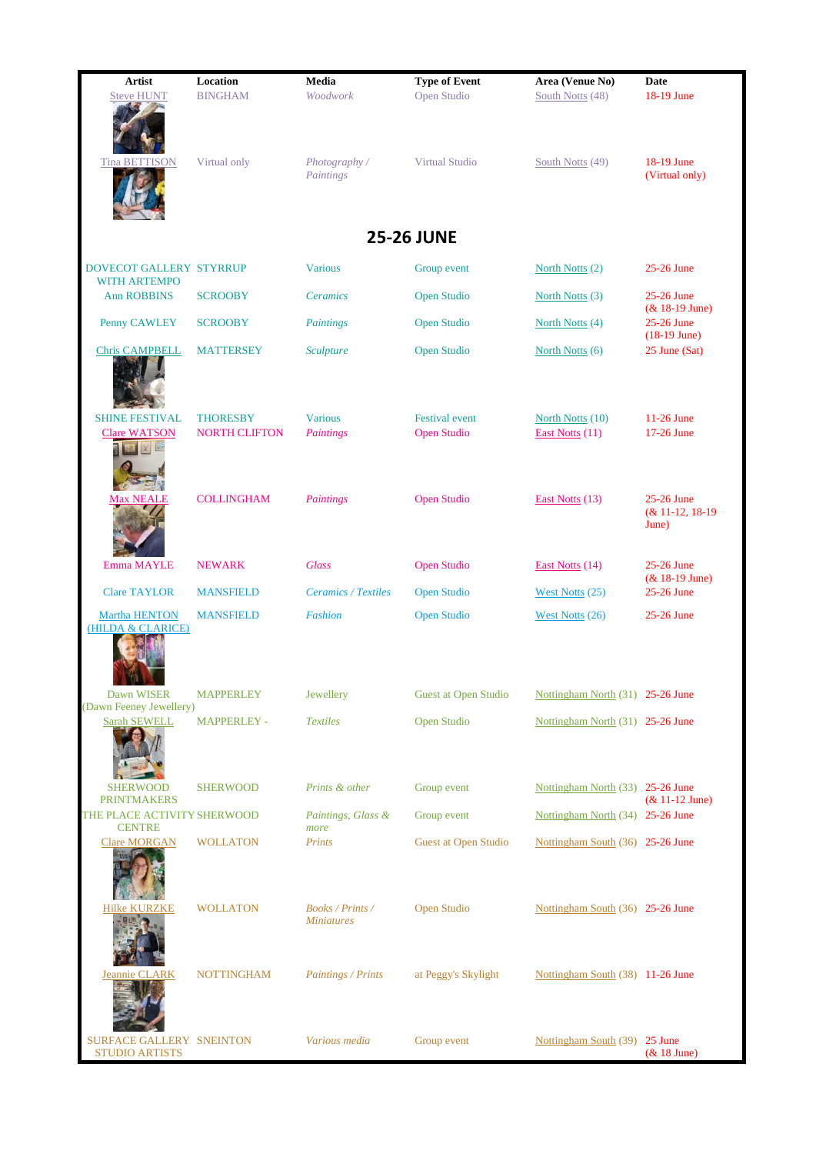| <b>Artist</b>                                     | Location                                | Media                                        | <b>Type of Event</b>                        | Area (Venue No)                     | <b>Date</b>                                     |  |  |  |  |
|---------------------------------------------------|-----------------------------------------|----------------------------------------------|---------------------------------------------|-------------------------------------|-------------------------------------------------|--|--|--|--|
| <b>Steve HUNT</b>                                 | <b>BINGHAM</b>                          | Woodwork                                     | Open Studio                                 | South Notts (48)                    | 18-19 June                                      |  |  |  |  |
| Tin<br>ON                                         | Virtual only                            | Photography/<br>Paintings                    | <b>Virtual Studio</b>                       | South Notts (49)                    | 18-19 June<br>(Virtual only)                    |  |  |  |  |
|                                                   | <b>25-26 JUNE</b>                       |                                              |                                             |                                     |                                                 |  |  |  |  |
| <b>DOVECOT GALLERY STYRRUP</b>                    |                                         | <b>Various</b>                               | Group event                                 | North Notts (2)                     | 25-26 June                                      |  |  |  |  |
| <b>WITH ARTEMPO</b><br><b>Ann ROBBINS</b>         | <b>SCROOBY</b>                          | <b>Ceramics</b>                              | <b>Open Studio</b>                          | North Notts (3)                     | 25-26 June                                      |  |  |  |  |
| Penny CAWLEY                                      | <b>SCROOBY</b>                          | Paintings                                    | <b>Open Studio</b>                          | North Notts (4)                     | $& 18-19$ June)<br>25-26 June<br>$(18-19$ June) |  |  |  |  |
| <b>Chris CAMPBELL</b>                             | <b>MATTERSEY</b>                        | <b>Sculpture</b>                             | <b>Open Studio</b>                          | North Notts (6)                     | 25 June (Sat)                                   |  |  |  |  |
| <b>SHINE FESTIVAL</b><br><b>Clare WATSON</b>      | <b>THORESBY</b><br><b>NORTH CLIFTON</b> | <b>Various</b><br>Paintings                  | <b>Festival</b> event<br><b>Open Studio</b> | North Notts (10)<br>East Notts (11) | 11-26 June<br>17-26 June                        |  |  |  |  |
| <b>Max NEALE</b>                                  | <b>COLLINGHAM</b>                       | Paintings                                    | <b>Open Studio</b>                          | East Notts (13)                     | 25-26 June<br>(& 11-12, 18-19)<br>June)         |  |  |  |  |
| Emma MAYLE                                        | <b>NEWARK</b>                           | <b>Glass</b>                                 | Open Studio                                 | East Notts (14)                     | 25-26 June<br>$& 18-19$ June)                   |  |  |  |  |
| <b>Clare TAYLOR</b>                               | <b>MANSFIELD</b>                        | <b>Ceramics / Textiles</b>                   | <b>Open Studio</b>                          | West Notts $(25)$                   | 25-26 June                                      |  |  |  |  |
| Martha HENTON<br>(HILDA & CLARICE)                | <b>MANSFIELD</b>                        | <b>Fashion</b>                               | <b>Open Studio</b>                          | West Notts (26)                     | 25-26 June                                      |  |  |  |  |
| Dawn WISER<br>(Dawn Feeney Jewellery)             | <b>MAPPERLEY</b>                        | Jewellery                                    | Guest at Open Studio                        | Nottingham North (31) 25-26 June    |                                                 |  |  |  |  |
| <b>Sarah SEWELL</b>                               | <b>MAPPERLEY -</b>                      | <b>Textiles</b>                              | <b>Open Studio</b>                          | Nottingham North (31) 25-26 June    |                                                 |  |  |  |  |
| <b>SHERWOOD</b><br><b>PRINTMAKERS</b>             | <b>SHERWOOD</b>                         | Prints & other                               | Group event                                 | Nottingham North (33) 25-26 June    | $& 11-12$ June)                                 |  |  |  |  |
| THE PLACE ACTIVITY SHERWOOD<br><b>CENTRE</b>      |                                         | Paintings, Glass &<br>more                   | Group event                                 | Nottingham North (34) 25-26 June    |                                                 |  |  |  |  |
| <b>Clare MORGAN</b>                               | <b>WOLLATON</b>                         | Prints                                       | <b>Guest at Open Studio</b>                 | Nottingham South (36) 25-26 June    |                                                 |  |  |  |  |
| <b>Hilke KURZKE</b>                               | <b>WOLLATON</b>                         | <b>Books / Prints /</b><br><b>Miniatures</b> | <b>Open Studio</b>                          | Nottingham South (36) 25-26 June    |                                                 |  |  |  |  |
| <b>CLARK</b>                                      | <b>NOTTINGHAM</b>                       | Paintings / Prints                           | at Peggy's Skylight                         | Nottingham South (38) 11-26 June    |                                                 |  |  |  |  |
| SURFACE GALLERY SNEINTON<br><b>STUDIO ARTISTS</b> |                                         | Various media                                | Group event                                 | Nottingham South (39) 25 June       | (& 18 June)                                     |  |  |  |  |